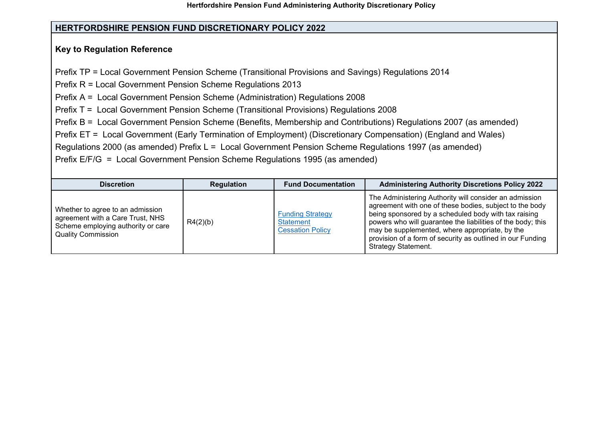## **HERTFORDSHIRE PENSION FUND DISCRETIONARY POLICY 2022**

## **Key to Regulation Reference**

Prefix TP = Local Government Pension Scheme (Transitional Provisions and Savings) Regulations 2014

Prefix R = Local Government Pension Scheme Regulations 2013

Prefix A = Local Government Pension Scheme (Administration) Regulations 2008

Prefix T = Local Government Pension Scheme (Transitional Provisions) Regulations 2008

Prefix B = Local Government Pension Scheme (Benefits, Membership and Contributions) Regulations 2007 (as amended)

Prefix ET = Local Government (Early Termination of Employment) (Discretionary Compensation) (England and Wales)

Regulations 2000 (as amended) Prefix L = Local Government Pension Scheme Regulations 1997 (as amended)

Prefix E/F/G = Local Government Pension Scheme Regulations 1995 (as amended)

| <b>Discretion</b>                                                                                                                       | <b>Regulation</b> | <b>Fund Documentation</b>                                              | <b>Administering Authority Discretions Policy 2022</b>                                                                                                                                                                                                                                                                                                                                 |
|-----------------------------------------------------------------------------------------------------------------------------------------|-------------------|------------------------------------------------------------------------|----------------------------------------------------------------------------------------------------------------------------------------------------------------------------------------------------------------------------------------------------------------------------------------------------------------------------------------------------------------------------------------|
| Whether to agree to an admission<br>agreement with a Care Trust, NHS<br>Scheme employing authority or care<br><b>Quality Commission</b> | R4(2)(b)          | <b>Funding Strategy</b><br><b>Statement</b><br><b>Cessation Policy</b> | The Administering Authority will consider an admission<br>agreement with one of these bodies, subject to the body<br>being sponsored by a scheduled body with tax raising<br>powers who will guarantee the liabilities of the body; this<br>may be supplemented, where appropriate, by the<br>provision of a form of security as outlined in our Funding<br><b>Strategy Statement.</b> |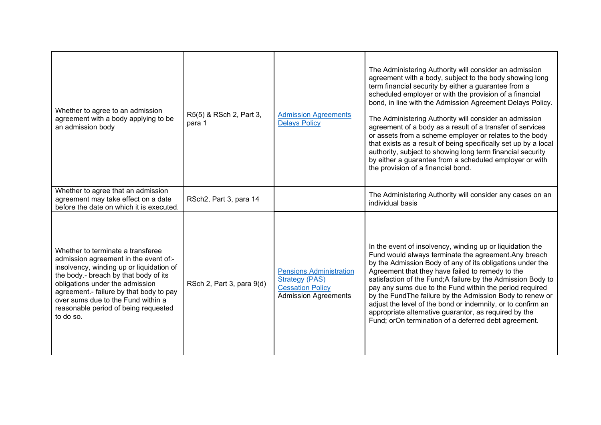| Whether to agree to an admission<br>agreement with a body applying to be<br>an admission body                                                                                                                                                                                                                                            | R5(5) & RSch 2, Part 3,<br>para 1 | <b>Admission Agreements</b><br><b>Delays Policy</b>                                                               | The Administering Authority will consider an admission<br>agreement with a body, subject to the body showing long<br>term financial security by either a guarantee from a<br>scheduled employer or with the provision of a financial<br>bond, in line with the Admission Agreement Delays Policy.<br>The Administering Authority will consider an admission<br>agreement of a body as a result of a transfer of services<br>or assets from a scheme employer or relates to the body<br>that exists as a result of being specifically set up by a local<br>authority, subject to showing long term financial security<br>by either a guarantee from a scheduled employer or with<br>the provision of a financial bond. |
|------------------------------------------------------------------------------------------------------------------------------------------------------------------------------------------------------------------------------------------------------------------------------------------------------------------------------------------|-----------------------------------|-------------------------------------------------------------------------------------------------------------------|-----------------------------------------------------------------------------------------------------------------------------------------------------------------------------------------------------------------------------------------------------------------------------------------------------------------------------------------------------------------------------------------------------------------------------------------------------------------------------------------------------------------------------------------------------------------------------------------------------------------------------------------------------------------------------------------------------------------------|
| Whether to agree that an admission<br>agreement may take effect on a date<br>before the date on which it is executed.                                                                                                                                                                                                                    | RSch2, Part 3, para 14            |                                                                                                                   | The Administering Authority will consider any cases on an<br>individual basis                                                                                                                                                                                                                                                                                                                                                                                                                                                                                                                                                                                                                                         |
| Whether to terminate a transferee<br>admission agreement in the event of:-<br>insolvency, winding up or liquidation of<br>the body.- breach by that body of its<br>obligations under the admission<br>agreement.- failure by that body to pay<br>over sums due to the Fund within a<br>reasonable period of being requested<br>to do so. | RSch 2, Part 3, para 9(d)         | <b>Pensions Administration</b><br><b>Strategy (PAS)</b><br><b>Cessation Policy</b><br><b>Admission Agreements</b> | In the event of insolvency, winding up or liquidation the<br>Fund would always terminate the agreement. Any breach<br>by the Admission Body of any of its obligations under the<br>Agreement that they have failed to remedy to the<br>satisfaction of the Fund; A failure by the Admission Body to<br>pay any sums due to the Fund within the period required<br>by the FundThe failure by the Admission Body to renew or<br>adjust the level of the bond or indemnity, or to confirm an<br>appropriate alternative guarantor, as required by the<br>Fund; orOn termination of a deferred debt agreement.                                                                                                            |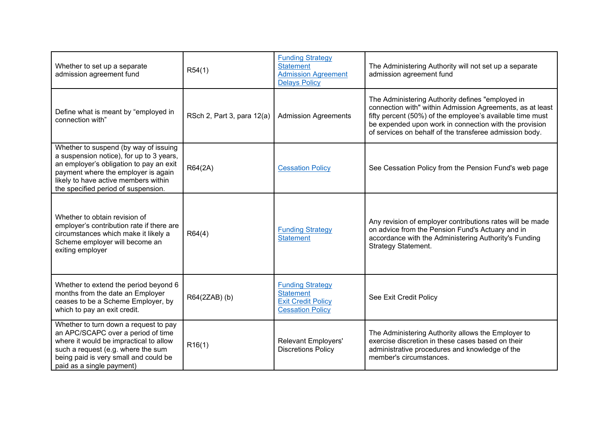| Whether to set up a separate<br>admission agreement fund                                                                                                                                                                                           | R54(1)                     | <b>Funding Strategy</b><br><b>Statement</b><br><b>Admission Agreement</b><br><b>Delays Policy</b>   | The Administering Authority will not set up a separate<br>admission agreement fund                                                                                                                                                                                                              |
|----------------------------------------------------------------------------------------------------------------------------------------------------------------------------------------------------------------------------------------------------|----------------------------|-----------------------------------------------------------------------------------------------------|-------------------------------------------------------------------------------------------------------------------------------------------------------------------------------------------------------------------------------------------------------------------------------------------------|
| Define what is meant by "employed in<br>connection with"                                                                                                                                                                                           | RSch 2, Part 3, para 12(a) | <b>Admission Agreements</b>                                                                         | The Administering Authority defines "employed in<br>connection with" within Admission Agreements, as at least<br>fifty percent (50%) of the employee's available time must<br>be expended upon work in connection with the provision<br>of services on behalf of the transferee admission body. |
| Whether to suspend (by way of issuing<br>a suspension notice), for up to 3 years,<br>an employer's obligation to pay an exit<br>payment where the employer is again<br>likely to have active members within<br>the specified period of suspension. | R64(2A)                    | <b>Cessation Policy</b>                                                                             | See Cessation Policy from the Pension Fund's web page                                                                                                                                                                                                                                           |
| Whether to obtain revision of<br>employer's contribution rate if there are<br>circumstances which make it likely a<br>Scheme employer will become an<br>exiting employer                                                                           | R64(4)                     | <b>Funding Strategy</b><br><b>Statement</b>                                                         | Any revision of employer contributions rates will be made<br>on advice from the Pension Fund's Actuary and in<br>accordance with the Administering Authority's Funding<br>Strategy Statement.                                                                                                   |
| Whether to extend the period beyond 6<br>months from the date an Employer<br>ceases to be a Scheme Employer, by<br>which to pay an exit credit.                                                                                                    | R64(2ZAB) (b)              | <b>Funding Strategy</b><br><b>Statement</b><br><b>Exit Credit Policy</b><br><b>Cessation Policy</b> | See Exit Credit Policy                                                                                                                                                                                                                                                                          |
| Whether to turn down a request to pay<br>an APC/SCAPC over a period of time<br>where it would be impractical to allow<br>such a request (e.g. where the sum<br>being paid is very small and could be<br>paid as a single payment)                  | R16(1)                     | <b>Relevant Employers'</b><br><b>Discretions Policy</b>                                             | The Administering Authority allows the Employer to<br>exercise discretion in these cases based on their<br>administrative procedures and knowledge of the<br>member's circumstances.                                                                                                            |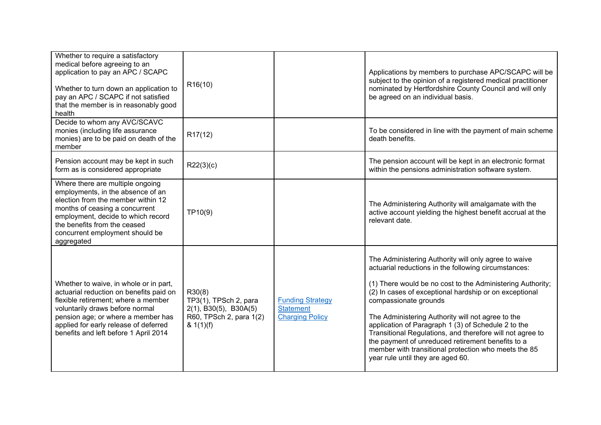| Whether to require a satisfactory<br>medical before agreeing to an<br>application to pay an APC / SCAPC<br>Whether to turn down an application to<br>pay an APC / SCAPC if not satisfied<br>that the member is in reasonably good<br>health                                         | R <sub>16</sub> (10)                                                                                          |                                                                       | Applications by members to purchase APC/SCAPC will be<br>subject to the opinion of a registered medical practitioner<br>nominated by Hertfordshire County Council and will only<br>be agreed on an individual basis.                                                                                                                                                                                                                                                                                                                                                                     |
|-------------------------------------------------------------------------------------------------------------------------------------------------------------------------------------------------------------------------------------------------------------------------------------|---------------------------------------------------------------------------------------------------------------|-----------------------------------------------------------------------|------------------------------------------------------------------------------------------------------------------------------------------------------------------------------------------------------------------------------------------------------------------------------------------------------------------------------------------------------------------------------------------------------------------------------------------------------------------------------------------------------------------------------------------------------------------------------------------|
| Decide to whom any AVC/SCAVC<br>monies (including life assurance<br>monies) are to be paid on death of the<br>member                                                                                                                                                                | R <sub>17</sub> (12)                                                                                          |                                                                       | To be considered in line with the payment of main scheme<br>death benefits.                                                                                                                                                                                                                                                                                                                                                                                                                                                                                                              |
| Pension account may be kept in such<br>form as is considered appropriate                                                                                                                                                                                                            | R22(3)(c)                                                                                                     |                                                                       | The pension account will be kept in an electronic format<br>within the pensions administration software system.                                                                                                                                                                                                                                                                                                                                                                                                                                                                          |
| Where there are multiple ongoing<br>employments, in the absence of an<br>election from the member within 12<br>months of ceasing a concurrent<br>employment, decide to which record<br>the benefits from the ceased<br>concurrent employment should be<br>aggregated                | TP10(9)                                                                                                       |                                                                       | The Administering Authority will amalgamate with the<br>active account yielding the highest benefit accrual at the<br>relevant date.                                                                                                                                                                                                                                                                                                                                                                                                                                                     |
| Whether to waive, in whole or in part,<br>actuarial reduction on benefits paid on<br>flexible retirement; where a member<br>voluntarily draws before normal<br>pension age; or where a member has<br>applied for early release of deferred<br>benefits and left before 1 April 2014 | R30(8)<br>TP3(1), TPSch 2, para<br>$2(1)$ , B30(5), B30A(5)<br>R60, TPSch 2, para 1(2)<br>$8 \frac{1}{1}$ (f) | <b>Funding Strategy</b><br><b>Statement</b><br><b>Charging Policy</b> | The Administering Authority will only agree to waive<br>actuarial reductions in the following circumstances:<br>(1) There would be no cost to the Administering Authority;<br>(2) In cases of exceptional hardship or on exceptional<br>compassionate grounds<br>The Administering Authority will not agree to the<br>application of Paragraph 1 (3) of Schedule 2 to the<br>Transitional Regulations, and therefore will not agree to<br>the payment of unreduced retirement benefits to a<br>member with transitional protection who meets the 85<br>year rule until they are aged 60. |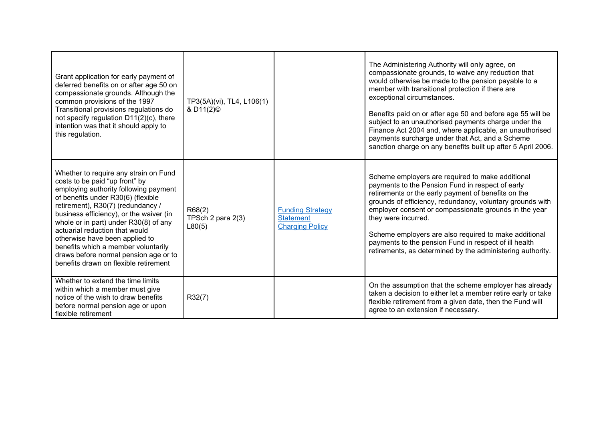| Grant application for early payment of<br>deferred benefits on or after age 50 on<br>compassionate grounds. Although the<br>common provisions of the 1997<br>Transitional provisions regulations do<br>not specify regulation D11(2)(c), there<br>intention was that it should apply to<br>this regulation.                                                                                                                                                                  | TP3(5A)(vi), TL4, L106(1)<br>& D11(2) <sup>©</sup> |                                                                       | The Administering Authority will only agree, on<br>compassionate grounds, to waive any reduction that<br>would otherwise be made to the pension payable to a<br>member with transitional protection if there are<br>exceptional circumstances.<br>Benefits paid on or after age 50 and before age 55 will be<br>subject to an unauthorised payments charge under the<br>Finance Act 2004 and, where applicable, an unauthorised<br>payments surcharge under that Act, and a Scheme<br>sanction charge on any benefits built up after 5 April 2006. |
|------------------------------------------------------------------------------------------------------------------------------------------------------------------------------------------------------------------------------------------------------------------------------------------------------------------------------------------------------------------------------------------------------------------------------------------------------------------------------|----------------------------------------------------|-----------------------------------------------------------------------|----------------------------------------------------------------------------------------------------------------------------------------------------------------------------------------------------------------------------------------------------------------------------------------------------------------------------------------------------------------------------------------------------------------------------------------------------------------------------------------------------------------------------------------------------|
| Whether to require any strain on Fund<br>costs to be paid "up front" by<br>employing authority following payment<br>of benefits under R30(6) (flexible<br>retirement), R30(7) (redundancy /<br>business efficiency), or the waiver (in<br>whole or in part) under R30(8) of any<br>actuarial reduction that would<br>otherwise have been applied to<br>benefits which a member voluntarily<br>draws before normal pension age or to<br>benefits drawn on flexible retirement | R68(2)<br>TPSch 2 para 2(3)<br>L80(5)              | <b>Funding Strategy</b><br><b>Statement</b><br><b>Charging Policy</b> | Scheme employers are required to make additional<br>payments to the Pension Fund in respect of early<br>retirements or the early payment of benefits on the<br>grounds of efficiency, redundancy, voluntary grounds with<br>employer consent or compassionate grounds in the year<br>they were incurred.<br>Scheme employers are also required to make additional<br>payments to the pension Fund in respect of ill health<br>retirements, as determined by the administering authority.                                                           |
| Whether to extend the time limits<br>within which a member must give<br>notice of the wish to draw benefits<br>before normal pension age or upon<br>flexible retirement                                                                                                                                                                                                                                                                                                      | R32(7)                                             |                                                                       | On the assumption that the scheme employer has already<br>taken a decision to either let a member retire early or take<br>flexible retirement from a given date, then the Fund will<br>agree to an extension if necessary.                                                                                                                                                                                                                                                                                                                         |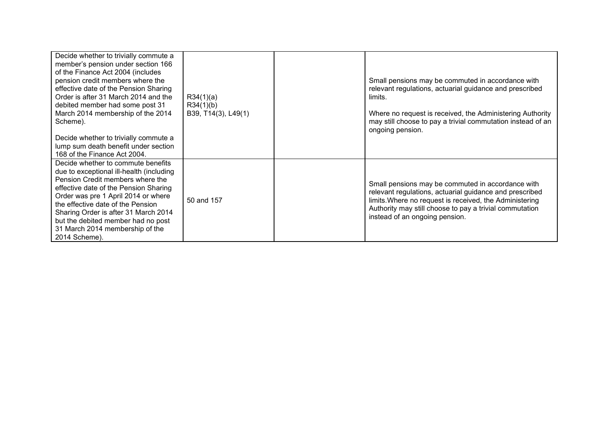| Decide whether to trivially commute a<br>member's pension under section 166<br>of the Finance Act 2004 (includes<br>pension credit members where the<br>effective date of the Pension Sharing<br>Order is after 31 March 2014 and the<br>debited member had some post 31<br>March 2014 membership of the 2014<br>Scheme).<br>Decide whether to trivially commute a<br>lump sum death benefit under section<br>168 of the Finance Act 2004. | R34(1)(a)<br>R34(1)(b)<br>B39, T14(3), L49(1) | Small pensions may be commuted in accordance with<br>relevant regulations, actuarial guidance and prescribed<br>limits.<br>Where no request is received, the Administering Authority<br>may still choose to pay a trivial commutation instead of an<br>ongoing pension. |
|--------------------------------------------------------------------------------------------------------------------------------------------------------------------------------------------------------------------------------------------------------------------------------------------------------------------------------------------------------------------------------------------------------------------------------------------|-----------------------------------------------|-------------------------------------------------------------------------------------------------------------------------------------------------------------------------------------------------------------------------------------------------------------------------|
| Decide whether to commute benefits<br>due to exceptional ill-health (including<br>Pension Credit members where the<br>effective date of the Pension Sharing<br>Order was pre 1 April 2014 or where<br>the effective date of the Pension<br>Sharing Order is after 31 March 2014<br>but the debited member had no post<br>31 March 2014 membership of the<br>2014 Scheme).                                                                  | 50 and 157                                    | Small pensions may be commuted in accordance with<br>relevant regulations, actuarial guidance and prescribed<br>limits. Where no request is received, the Administering<br>Authority may still choose to pay a trivial commutation<br>instead of an ongoing pension.    |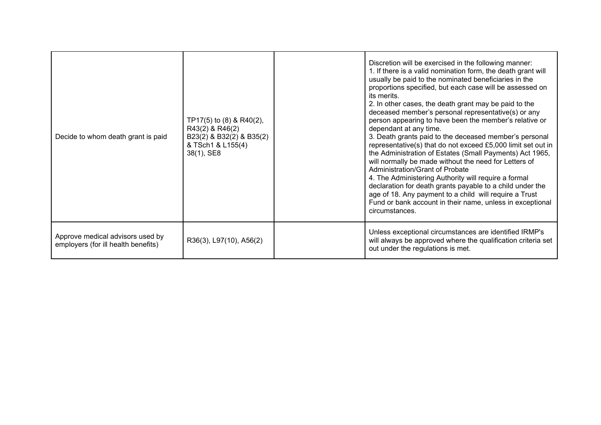| Decide to whom death grant is paid                                      | TP17(5) to $(8)$ & R40(2),<br>R43(2) & R46(2)<br>B23(2) & B32(2) & B35(2)<br>& TSch1 & L155(4)<br>38(1), SE8 | Discretion will be exercised in the following manner:<br>1. If there is a valid nomination form, the death grant will<br>usually be paid to the nominated beneficiaries in the<br>proportions specified, but each case will be assessed on<br>its merits.<br>2. In other cases, the death grant may be paid to the<br>deceased member's personal representative(s) or any<br>person appearing to have been the member's relative or<br>dependant at any time.<br>3. Death grants paid to the deceased member's personal<br>representative(s) that do not exceed £5,000 limit set out in<br>the Administration of Estates (Small Payments) Act 1965,<br>will normally be made without the need for Letters of<br><b>Administration/Grant of Probate</b><br>4. The Administering Authority will require a formal<br>declaration for death grants payable to a child under the<br>age of 18. Any payment to a child will require a Trust<br>Fund or bank account in their name, unless in exceptional<br>circumstances. |
|-------------------------------------------------------------------------|--------------------------------------------------------------------------------------------------------------|----------------------------------------------------------------------------------------------------------------------------------------------------------------------------------------------------------------------------------------------------------------------------------------------------------------------------------------------------------------------------------------------------------------------------------------------------------------------------------------------------------------------------------------------------------------------------------------------------------------------------------------------------------------------------------------------------------------------------------------------------------------------------------------------------------------------------------------------------------------------------------------------------------------------------------------------------------------------------------------------------------------------|
| Approve medical advisors used by<br>employers (for ill health benefits) | R36(3), L97(10), A56(2)                                                                                      | Unless exceptional circumstances are identified IRMP's<br>will always be approved where the qualification criteria set<br>out under the regulations is met.                                                                                                                                                                                                                                                                                                                                                                                                                                                                                                                                                                                                                                                                                                                                                                                                                                                          |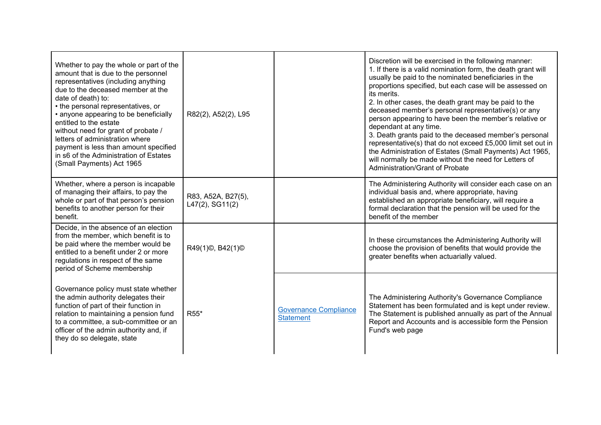| Whether to pay the whole or part of the<br>amount that is due to the personnel<br>representatives (including anything<br>due to the deceased member at the<br>date of death) to:<br>• the personal representatives, or<br>• anyone appearing to be beneficially<br>entitled to the estate<br>without need for grant of probate /<br>letters of administration where<br>payment is less than amount specified<br>in s6 of the Administration of Estates<br>(Small Payments) Act 1965 | R82(2), A52(2), L95                      |                                                  | Discretion will be exercised in the following manner:<br>1. If there is a valid nomination form, the death grant will<br>usually be paid to the nominated beneficiaries in the<br>proportions specified, but each case will be assessed on<br>its merits.<br>2. In other cases, the death grant may be paid to the<br>deceased member's personal representative(s) or any<br>person appearing to have been the member's relative or<br>dependant at any time.<br>3. Death grants paid to the deceased member's personal<br>representative(s) that do not exceed £5,000 limit set out in<br>the Administration of Estates (Small Payments) Act 1965,<br>will normally be made without the need for Letters of<br>Administration/Grant of Probate |
|-------------------------------------------------------------------------------------------------------------------------------------------------------------------------------------------------------------------------------------------------------------------------------------------------------------------------------------------------------------------------------------------------------------------------------------------------------------------------------------|------------------------------------------|--------------------------------------------------|-------------------------------------------------------------------------------------------------------------------------------------------------------------------------------------------------------------------------------------------------------------------------------------------------------------------------------------------------------------------------------------------------------------------------------------------------------------------------------------------------------------------------------------------------------------------------------------------------------------------------------------------------------------------------------------------------------------------------------------------------|
| Whether, where a person is incapable<br>of managing their affairs, to pay the<br>whole or part of that person's pension<br>benefits to another person for their<br>benefit.                                                                                                                                                                                                                                                                                                         | R83, A52A, B27(5),<br>$L47(2)$ , SG11(2) |                                                  | The Administering Authority will consider each case on an<br>individual basis and, where appropriate, having<br>established an appropriate beneficiary, will require a<br>formal declaration that the pension will be used for the<br>benefit of the member                                                                                                                                                                                                                                                                                                                                                                                                                                                                                     |
| Decide, in the absence of an election<br>from the member, which benefit is to<br>be paid where the member would be<br>entitled to a benefit under 2 or more<br>regulations in respect of the same<br>period of Scheme membership                                                                                                                                                                                                                                                    | R49(1)©, B42(1)©                         |                                                  | In these circumstances the Administering Authority will<br>choose the provision of benefits that would provide the<br>greater benefits when actuarially valued.                                                                                                                                                                                                                                                                                                                                                                                                                                                                                                                                                                                 |
| Governance policy must state whether<br>the admin authority delegates their<br>function of part of their function in<br>relation to maintaining a pension fund<br>to a committee, a sub-committee or an<br>officer of the admin authority and, if<br>they do so delegate, state                                                                                                                                                                                                     | R55*                                     | <b>Governance Compliance</b><br><b>Statement</b> | The Administering Authority's Governance Compliance<br>Statement has been formulated and is kept under review.<br>The Statement is published annually as part of the Annual<br>Report and Accounts and is accessible form the Pension<br>Fund's web page                                                                                                                                                                                                                                                                                                                                                                                                                                                                                        |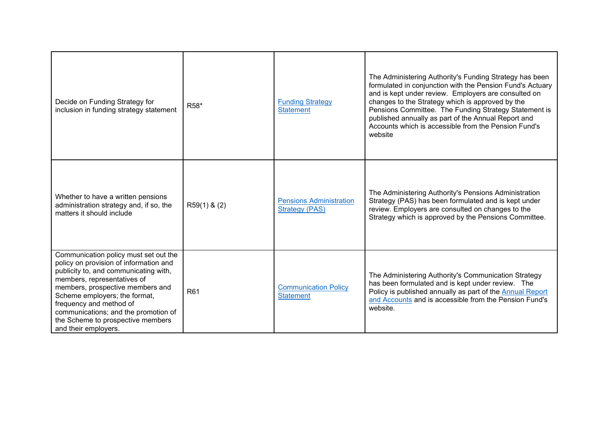| Decide on Funding Strategy for<br>inclusion in funding strategy statement                                                                                                                                                                                                                                                                                    | R58*           | <b>Funding Strategy</b><br><b>Statement</b>             | The Administering Authority's Funding Strategy has been<br>formulated in conjunction with the Pension Fund's Actuary<br>and is kept under review. Employers are consulted on<br>changes to the Strategy which is approved by the<br>Pensions Committee. The Funding Strategy Statement is<br>published annually as part of the Annual Report and<br>Accounts which is accessible from the Pension Fund's<br>website |
|--------------------------------------------------------------------------------------------------------------------------------------------------------------------------------------------------------------------------------------------------------------------------------------------------------------------------------------------------------------|----------------|---------------------------------------------------------|---------------------------------------------------------------------------------------------------------------------------------------------------------------------------------------------------------------------------------------------------------------------------------------------------------------------------------------------------------------------------------------------------------------------|
| Whether to have a written pensions<br>administration strategy and, if so, the<br>matters it should include                                                                                                                                                                                                                                                   | $R59(1)$ & (2) | <b>Pensions Administration</b><br><b>Strategy (PAS)</b> | The Administering Authority's Pensions Administration<br>Strategy (PAS) has been formulated and is kept under<br>review. Employers are consulted on changes to the<br>Strategy which is approved by the Pensions Committee.                                                                                                                                                                                         |
| Communication policy must set out the<br>policy on provision of information and<br>publicity to, and communicating with,<br>members, representatives of<br>members, prospective members and<br>Scheme employers; the format,<br>frequency and method of<br>communications; and the promotion of<br>the Scheme to prospective members<br>and their employers. | R61            | <b>Communication Policy</b><br><b>Statement</b>         | The Administering Authority's Communication Strategy<br>has been formulated and is kept under review. The<br>Policy is published annually as part of the <b>Annual Report</b><br>and Accounts and is accessible from the Pension Fund's<br>website.                                                                                                                                                                 |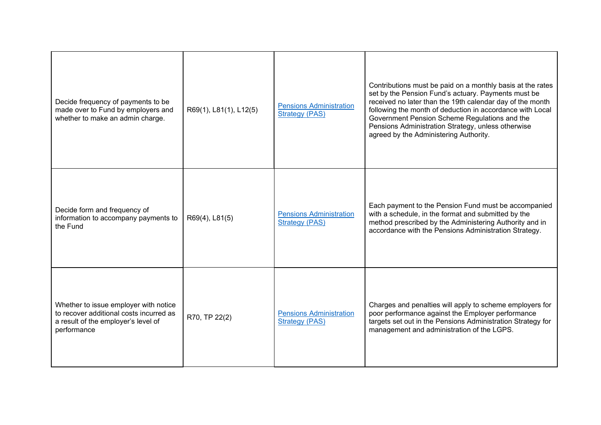| Decide frequency of payments to be<br>made over to Fund by employers and<br>whether to make an admin charge.                           | R69(1), L81(1), L12(5) | <b>Pensions Administration</b><br><b>Strategy (PAS)</b> | Contributions must be paid on a monthly basis at the rates<br>set by the Pension Fund's actuary. Payments must be<br>received no later than the 19th calendar day of the month<br>following the month of deduction in accordance with Local<br>Government Pension Scheme Regulations and the<br>Pensions Administration Strategy, unless otherwise<br>agreed by the Administering Authority. |
|----------------------------------------------------------------------------------------------------------------------------------------|------------------------|---------------------------------------------------------|----------------------------------------------------------------------------------------------------------------------------------------------------------------------------------------------------------------------------------------------------------------------------------------------------------------------------------------------------------------------------------------------|
| Decide form and frequency of<br>information to accompany payments to<br>the Fund                                                       | R69(4), L81(5)         | <b>Pensions Administration</b><br><b>Strategy (PAS)</b> | Each payment to the Pension Fund must be accompanied<br>with a schedule, in the format and submitted by the<br>method prescribed by the Administering Authority and in<br>accordance with the Pensions Administration Strategy.                                                                                                                                                              |
| Whether to issue employer with notice<br>to recover additional costs incurred as<br>a result of the employer's level of<br>performance | R70, TP 22(2)          | <b>Pensions Administration</b><br><b>Strategy (PAS)</b> | Charges and penalties will apply to scheme employers for<br>poor performance against the Employer performance<br>targets set out in the Pensions Administration Strategy for<br>management and administration of the LGPS.                                                                                                                                                                   |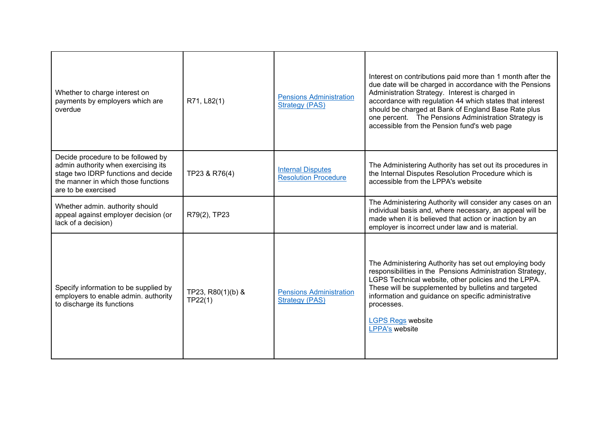| Whether to charge interest on<br>payments by employers which are<br>overdue                                                                                                    | R71, L82(1)                  | <b>Pensions Administration</b><br><b>Strategy (PAS)</b> | Interest on contributions paid more than 1 month after the<br>due date will be charged in accordance with the Pensions<br>Administration Strategy. Interest is charged in<br>accordance with regulation 44 which states that interest<br>should be charged at Bank of England Base Rate plus<br>one percent. The Pensions Administration Strategy is<br>accessible from the Pension fund's web page |
|--------------------------------------------------------------------------------------------------------------------------------------------------------------------------------|------------------------------|---------------------------------------------------------|-----------------------------------------------------------------------------------------------------------------------------------------------------------------------------------------------------------------------------------------------------------------------------------------------------------------------------------------------------------------------------------------------------|
| Decide procedure to be followed by<br>admin authority when exercising its<br>stage two IDRP functions and decide<br>the manner in which those functions<br>are to be exercised | TP23 & R76(4)                | <b>Internal Disputes</b><br><b>Resolution Procedure</b> | The Administering Authority has set out its procedures in<br>the Internal Disputes Resolution Procedure which is<br>accessible from the LPPA's website                                                                                                                                                                                                                                              |
| Whether admin. authority should<br>appeal against employer decision (or<br>lack of a decision)                                                                                 | R79(2), TP23                 |                                                         | The Administering Authority will consider any cases on an<br>individual basis and, where necessary, an appeal will be<br>made when it is believed that action or inaction by an<br>employer is incorrect under law and is material.                                                                                                                                                                 |
| Specify information to be supplied by<br>employers to enable admin. authority<br>to discharge its functions                                                                    | TP23, R80(1)(b) &<br>TP22(1) | <b>Pensions Administration</b><br><b>Strategy (PAS)</b> | The Administering Authority has set out employing body<br>responsibilities in the Pensions Administration Strategy,<br>LGPS Technical website, other policies and the LPPA.<br>These will be supplemented by bulletins and targeted<br>information and guidance on specific administrative<br>processes.<br><b>LGPS Regs website</b><br><b>LPPA's website</b>                                       |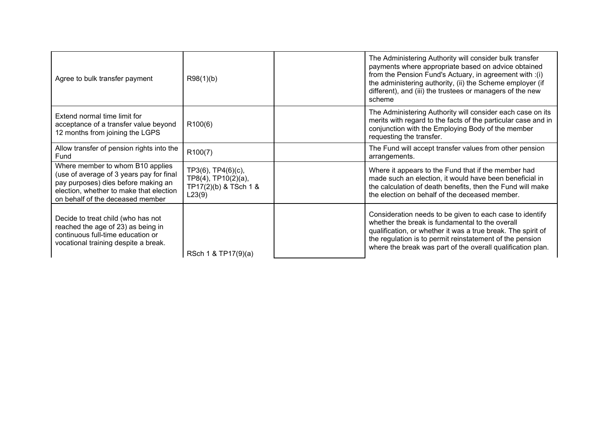| Agree to bulk transfer payment                                                                                                                                                                     | R98(1)(b)                                                                    | The Administering Authority will consider bulk transfer<br>payments where appropriate based on advice obtained<br>from the Pension Fund's Actuary, in agreement with :(i)<br>the administering authority, (ii) the Scheme employer (if<br>different), and (iii) the trustees or managers of the new<br>scheme |
|----------------------------------------------------------------------------------------------------------------------------------------------------------------------------------------------------|------------------------------------------------------------------------------|---------------------------------------------------------------------------------------------------------------------------------------------------------------------------------------------------------------------------------------------------------------------------------------------------------------|
| Extend normal time limit for<br>acceptance of a transfer value beyond<br>12 months from joining the LGPS                                                                                           | R100(6)                                                                      | The Administering Authority will consider each case on its<br>merits with regard to the facts of the particular case and in<br>conjunction with the Employing Body of the member<br>requesting the transfer.                                                                                                  |
| Allow transfer of pension rights into the<br>Fund                                                                                                                                                  | R100(7)                                                                      | The Fund will accept transfer values from other pension<br>arrangements.                                                                                                                                                                                                                                      |
| Where member to whom B10 applies<br>(use of average of 3 years pay for final<br>pay purposes) dies before making an<br>election, whether to make that election<br>on behalf of the deceased member | TP3(6), TP4(6)(c),<br>TP8(4), TP10(2)(a),<br>TP17(2)(b) & TSch 1 &<br>L23(9) | Where it appears to the Fund that if the member had<br>made such an election, it would have been beneficial in<br>the calculation of death benefits, then the Fund will make<br>the election on behalf of the deceased member.                                                                                |
| Decide to treat child (who has not<br>reached the age of 23) as being in<br>continuous full-time education or<br>vocational training despite a break.                                              | RSch 1 & TP17(9)(a)                                                          | Consideration needs to be given to each case to identify<br>whether the break is fundamental to the overall<br>qualification, or whether it was a true break. The spirit of<br>the regulation is to permit reinstatement of the pension<br>where the break was part of the overall qualification plan.        |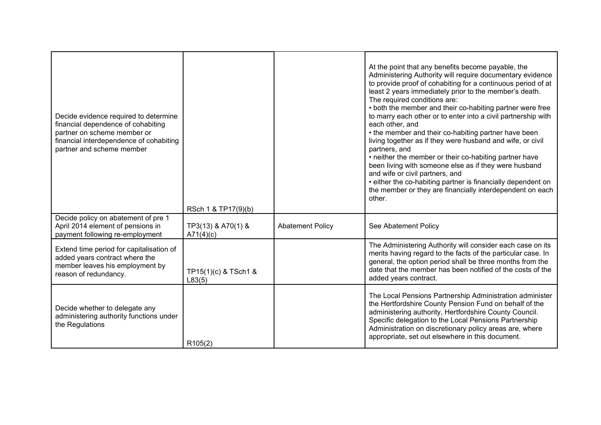| Decide evidence required to determine<br>financial dependence of cohabiting<br>partner on scheme member or<br>financial interdependence of cohabiting<br>partner and scheme member | RSch 1 & TP17(9)(b)             |                         | At the point that any benefits become payable, the<br>Administering Authority will require documentary evidence<br>to provide proof of cohabiting for a continuous period of at<br>least 2 years immediately prior to the member's death.<br>The required conditions are:<br>• both the member and their co-habiting partner were free<br>to marry each other or to enter into a civil partnership with<br>each other, and<br>• the member and their co-habiting partner have been<br>living together as if they were husband and wife, or civil<br>partners, and<br>• neither the member or their co-habiting partner have<br>been living with someone else as if they were husband<br>and wife or civil partners, and<br>• either the co-habiting partner is financially dependent on<br>the member or they are financially interdependent on each<br>other. |
|------------------------------------------------------------------------------------------------------------------------------------------------------------------------------------|---------------------------------|-------------------------|----------------------------------------------------------------------------------------------------------------------------------------------------------------------------------------------------------------------------------------------------------------------------------------------------------------------------------------------------------------------------------------------------------------------------------------------------------------------------------------------------------------------------------------------------------------------------------------------------------------------------------------------------------------------------------------------------------------------------------------------------------------------------------------------------------------------------------------------------------------|
| Decide policy on abatement of pre 1<br>April 2014 element of pensions in<br>payment following re-employment                                                                        | TP3(13) & A70(1) &<br>A71(4)(c) | <b>Abatement Policy</b> | See Abatement Policy                                                                                                                                                                                                                                                                                                                                                                                                                                                                                                                                                                                                                                                                                                                                                                                                                                           |
| Extend time period for capitalisation of<br>added years contract where the<br>member leaves his employment by<br>reason of redundancy.                                             | TP15(1)(c) & TSch1 &<br>L83(5)  |                         | The Administering Authority will consider each case on its<br>merits having regard to the facts of the particular case. In<br>general, the option period shall be three months from the<br>date that the member has been notified of the costs of the<br>added years contract.                                                                                                                                                                                                                                                                                                                                                                                                                                                                                                                                                                                 |
| Decide whether to delegate any<br>administering authority functions under<br>the Regulations                                                                                       | R105(2)                         |                         | The Local Pensions Partnership Administration administer<br>the Hertfordshire County Pension Fund on behalf of the<br>administering authority, Hertfordshire County Council.<br>Specific delegation to the Local Pensions Partnership<br>Administration on discretionary policy areas are, where<br>appropriate, set out elsewhere in this document.                                                                                                                                                                                                                                                                                                                                                                                                                                                                                                           |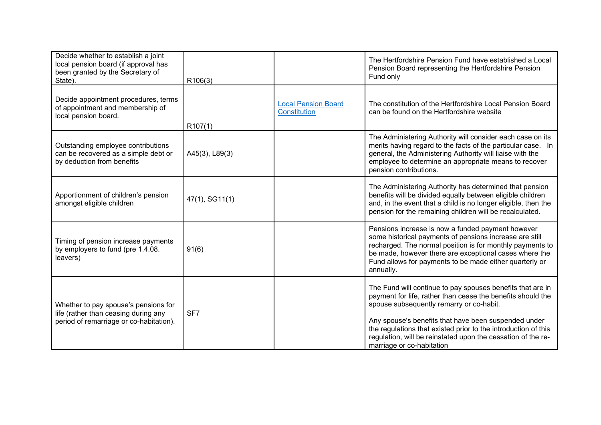| Decide whether to establish a joint<br>local pension board (if approval has<br>been granted by the Secretary of<br>State). | R106(3)        |                                                   | The Hertfordshire Pension Fund have established a Local<br>Pension Board representing the Hertfordshire Pension<br>Fund only                                                                                                                                                                                                                                                                 |
|----------------------------------------------------------------------------------------------------------------------------|----------------|---------------------------------------------------|----------------------------------------------------------------------------------------------------------------------------------------------------------------------------------------------------------------------------------------------------------------------------------------------------------------------------------------------------------------------------------------------|
| Decide appointment procedures, terms<br>of appointment and membership of<br>local pension board.                           | R107(1)        | <b>Local Pension Board</b><br><b>Constitution</b> | The constitution of the Hertfordshire Local Pension Board<br>can be found on the Hertfordshire website                                                                                                                                                                                                                                                                                       |
| Outstanding employee contributions<br>can be recovered as a simple debt or<br>by deduction from benefits                   | A45(3), L89(3) |                                                   | The Administering Authority will consider each case on its<br>merits having regard to the facts of the particular case. In<br>general, the Administering Authority will liaise with the<br>employee to determine an appropriate means to recover<br>pension contributions.                                                                                                                   |
| Apportionment of children's pension<br>amongst eligible children                                                           | 47(1), SG11(1) |                                                   | The Administering Authority has determined that pension<br>benefits will be divided equally between eligible children<br>and, in the event that a child is no longer eligible, then the<br>pension for the remaining children will be recalculated.                                                                                                                                          |
| Timing of pension increase payments<br>by employers to fund (pre 1.4.08.<br>leavers)                                       | 91(6)          |                                                   | Pensions increase is now a funded payment however<br>some historical payments of pensions increase are still<br>recharged. The normal position is for monthly payments to<br>be made, however there are exceptional cases where the<br>Fund allows for payments to be made either quarterly or<br>annually.                                                                                  |
| Whether to pay spouse's pensions for<br>life (rather than ceasing during any<br>period of remarriage or co-habitation).    | SF7            |                                                   | The Fund will continue to pay spouses benefits that are in<br>payment for life, rather than cease the benefits should the<br>spouse subsequently remarry or co-habit.<br>Any spouse's benefits that have been suspended under<br>the regulations that existed prior to the introduction of this<br>regulation, will be reinstated upon the cessation of the re-<br>marriage or co-habitation |